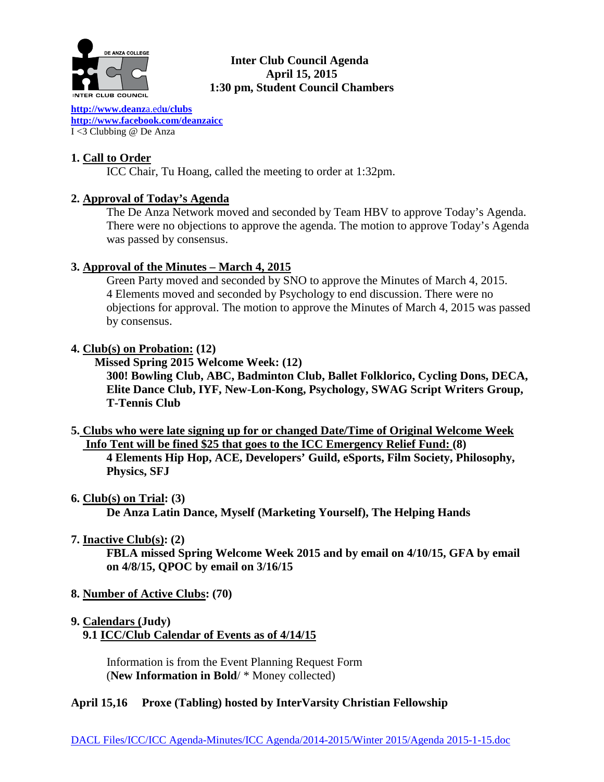

# **Inter Club Council Agenda April 15, 2015 1:30 pm, Student Council Chambers**

**[http://www.deanz](http://www.deanza.edu/clubs)**a.ed**u/clubs [http://www.facebook.com/deanzaicc](http://www.facebook.com/home.php%23!/group.php?gid=59034552686)** I <3 Clubbing @ De Anza

# **1. Call to Order**

ICC Chair, Tu Hoang, called the meeting to order at 1:32pm.

# **2. Approval of Today's Agenda**

The De Anza Network moved and seconded by Team HBV to approve Today's Agenda. There were no objections to approve the agenda. The motion to approve Today's Agenda was passed by consensus.

# **3. Approval of the Minutes – March 4, 2015**

Green Party moved and seconded by SNO to approve the Minutes of March 4, 2015. 4 Elements moved and seconded by Psychology to end discussion. There were no objections for approval. The motion to approve the Minutes of March 4, 2015 was passed by consensus.

# **4. Club(s) on Probation: (12)**

 **Missed Spring 2015 Welcome Week: (12)**

**300! Bowling Club, ABC, Badminton Club, Ballet Folklorico, Cycling Dons, DECA, Elite Dance Club, IYF, New-Lon-Kong, Psychology, SWAG Script Writers Group, T-Tennis Club**

**5. Clubs who were late signing up for or changed Date/Time of Original Welcome Week Info Tent will be fined \$25 that goes to the ICC Emergency Relief Fund: (8)**

**4 Elements Hip Hop, ACE, Developers' Guild, eSports, Film Society, Philosophy, Physics, SFJ**

**6. Club(s) on Trial: (3)**

**De Anza Latin Dance, Myself (Marketing Yourself), The Helping Hands**

**7. Inactive Club(s): (2)**

**FBLA missed Spring Welcome Week 2015 and by email on 4/10/15, GFA by email on 4/8/15, QPOC by email on 3/16/15**

- **8. Number of Active Clubs: (70)**
- **9. Calendars (Judy)**

 **9.1 ICC/Club Calendar of Events as of 4/14/15**

 Information is from the Event Planning Request Form (**New Information in Bold**/ \* Money collected)

# **April 15,16 Proxe (Tabling) hosted by InterVarsity Christian Fellowship**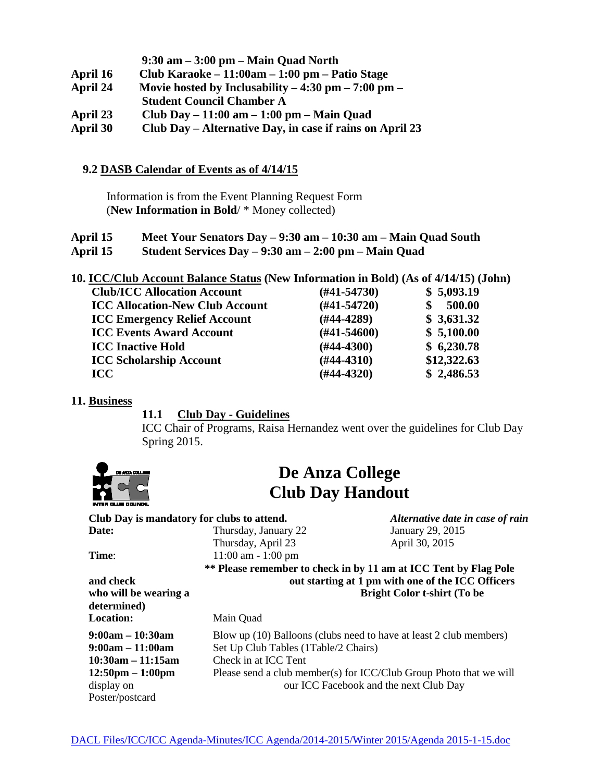- **9:30 am – 3:00 pm – Main Quad North**
- **April 16 Club Karaoke – 11:00am – 1:00 pm – Patio Stage**
- **April 24 Movie hosted by Inclusability – 4:30 pm – 7:00 pm –**
- **Student Council Chamber A**
- **April 23 Club Day – 11:00 am – 1:00 pm – Main Quad**
- **April 30 Club Day – Alternative Day, in case if rains on April 23**

### **9.2 DASB Calendar of Events as of 4/14/15**

Information is from the Event Planning Request Form (**New Information in Bold**/ \* Money collected)

### **April 15 Meet Your Senators Day – 9:30 am – 10:30 am – Main Quad South April 15 Student Services Day – 9:30 am – 2:00 pm – Main Quad**

**10. ICC/Club Account Balance Status (New Information in Bold) (As of 4/14/15) (John)**

| <b>Club/ICC Allocation Account</b>     | $(\#41 - 54730)$ | \$5,093.19  |
|----------------------------------------|------------------|-------------|
| <b>ICC Allocation-New Club Account</b> | $(H41-54720)$    | 500.00      |
| <b>ICC Emergency Relief Account</b>    | $(H44-4289)$     | \$3,631.32  |
| <b>ICC Events Award Account</b>        | $(\#41 - 54600)$ | \$5,100.00  |
| <b>ICC Inactive Hold</b>               | $(\#44 - 4300)$  | \$6,230.78  |
| <b>ICC Scholarship Account</b>         | $(H44-4310)$     | \$12,322.63 |
| <b>ICC</b>                             | $(H44-4320)$     | \$2,486.53  |
|                                        |                  |             |

### **11. Business**

### **11.1 Club Day - Guidelines**

ICC Chair of Programs, Raisa Hernandez went over the guidelines for Club Day Spring 2015.



# **De Anza College Club Day Handout**

| Club Day is mandatory for clubs to attend. |                                                   | Alternative date in case of rain                                   |  |
|--------------------------------------------|---------------------------------------------------|--------------------------------------------------------------------|--|
| Date:                                      | Thursday, January 22                              | January 29, 2015                                                   |  |
|                                            | Thursday, April 23                                | April 30, 2015                                                     |  |
| Time:                                      | $11:00$ am $-1:00$ pm                             |                                                                    |  |
|                                            |                                                   | ** Please remember to check in by 11 am at ICC Tent by Flag Pole   |  |
| and check                                  | out starting at 1 pm with one of the ICC Officers |                                                                    |  |
| who will be wearing a                      |                                                   | <b>Bright Color t-shirt (To be</b>                                 |  |
| determined)                                |                                                   |                                                                    |  |
| <b>Location:</b>                           | Main Quad                                         |                                                                    |  |
| $9:00am - 10:30am$                         |                                                   | Blow up (10) Balloons (clubs need to have at least 2 club members) |  |
| $9:00am - 11:00am$                         | Set Up Club Tables (1Table/2 Chairs)              |                                                                    |  |
| $10:30am - 11:15am$                        | Check in at ICC Tent                              |                                                                    |  |
| $12:50 \text{pm} - 1:00 \text{pm}$         |                                                   | Please send a club member(s) for ICC/Club Group Photo that we will |  |
| display on                                 |                                                   | our ICC Facebook and the next Club Day                             |  |
| Poster/postcard                            |                                                   |                                                                    |  |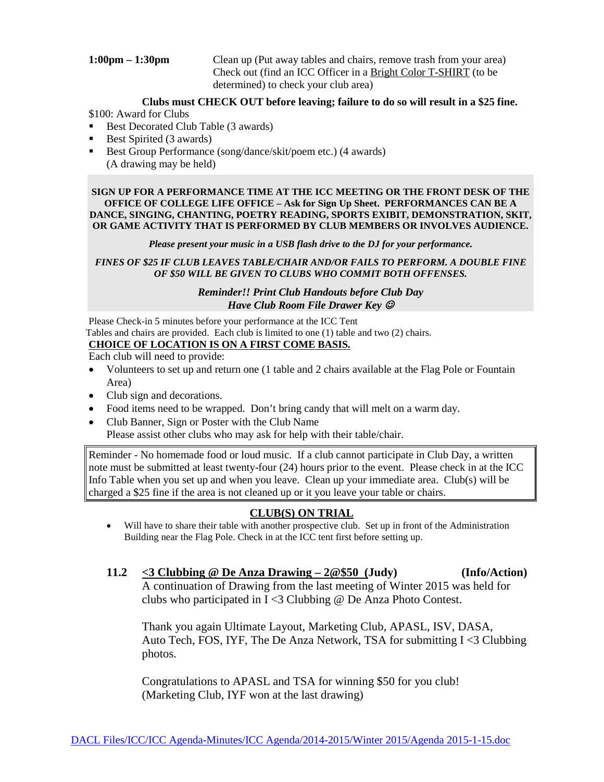**1:00pm – 1:30pm** Clean up (Put away tables and chairs, remove trash from your area) Check out (find an ICC Officer in a Bright Color T-SHIRT (to be determined) to check your club area)

### **Clubs must CHECK OUT before leaving; failure to do so will result in a \$25 fine.**

\$100: Award for Clubs

- Best Decorated Club Table (3 awards)
- Best Spirited (3 awards)
- Best Group Performance (song/dance/skit/poem etc.) (4 awards) (A drawing may be held)

**SIGN UP FOR A PERFORMANCE TIME AT THE ICC MEETING OR THE FRONT DESK OF THE OFFICE OF COLLEGE LIFE OFFICE – Ask for Sign Up Sheet. PERFORMANCES CAN BE A DANCE, SINGING, CHANTING, POETRY READING, SPORTS EXIBIT, DEMONSTRATION, SKIT, OR GAME ACTIVITY THAT IS PERFORMED BY CLUB MEMBERS OR INVOLVES AUDIENCE.**

*Please present your music in a USB flash drive to the DJ for your performance.*

*FINES OF \$25 IF CLUB LEAVES TABLE/CHAIR AND/OR FAILS TO PERFORM. A DOUBLE FINE OF \$50 WILL BE GIVEN TO CLUBS WHO COMMIT BOTH OFFENSES.*

### *Reminder!! Print Club Handouts before Club Day Have Club Room File Drawer Key*

Please Check-in 5 minutes before your performance at the ICC Tent Tables and chairs are provided. Each club is limited to one (1) table and two (2) chairs.

### **CHOICE OF LOCATION IS ON A FIRST COME BASIS.**

Each club will need to provide:

- Volunteers to set up and return one (1 table and 2 chairs available at the Flag Pole or Fountain Area)
- Club sign and decorations.
- Food items need to be wrapped. Don't bring candy that will melt on a warm day.
- Club Banner, Sign or Poster with the Club Name Please assist other clubs who may ask for help with their table/chair.

Reminder - No homemade food or loud music. If a club cannot participate in Club Day, a written note must be submitted at least twenty-four (24) hours prior to the event. Please check in at the ICC Info Table when you set up and when you leave. Clean up your immediate area. Club(s) will be charged a \$25 fine if the area is not cleaned up or it you leave your table or chairs.

# **CLUB(S) ON TRIAL**

- Will have to share their table with another prospective club. Set up in front of the Administration Building near the Flag Pole. Check in at the ICC tent first before setting up.
- **11.2 <3 Clubbing @ De Anza Drawing – 2@\$50 (Judy) (Info/Action)** A continuation of Drawing from the last meeting of Winter 2015 was held for clubs who participated in I <3 Clubbing @ De Anza Photo Contest.

Thank you again Ultimate Layout, Marketing Club, APASL, ISV, DASA, Auto Tech, FOS, IYF, The De Anza Network, TSA for submitting I <3 Clubbing photos.

Congratulations to APASL and TSA for winning \$50 for you club! (Marketing Club, IYF won at the last drawing)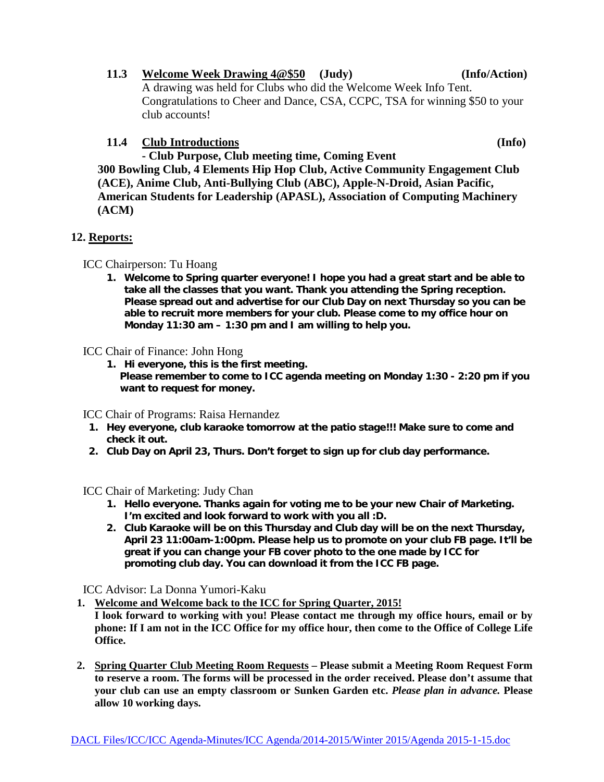- **11.3 Welcome Week Drawing 4@\$50 (Judy) (Info/Action)** A drawing was held for Clubs who did the Welcome Week Info Tent. Congratulations to Cheer and Dance, CSA, CCPC, TSA for winning \$50 to your club accounts!
- **11.4 Club Introductions (Info)**

**- Club Purpose, Club meeting time, Coming Event 300 Bowling Club, 4 Elements Hip Hop Club, Active Community Engagement Club (ACE), Anime Club, Anti-Bullying Club (ABC), Apple-N-Droid, Asian Pacific, American Students for Leadership (APASL), Association of Computing Machinery (ACM)**

# **12. Reports:**

ICC Chairperson: Tu Hoang

**1. Welcome to Spring quarter everyone! I hope you had a great start and be able to take all the classes that you want. Thank you attending the Spring reception. Please spread out and advertise for our Club Day on next Thursday so you can be able to recruit more members for your club. Please come to my office hour on Monday 11:30 am – 1:30 pm and I am willing to help you.**

ICC Chair of Finance: John Hong

**1. Hi everyone, this is the first meeting. Please remember to come to ICC agenda meeting on Monday 1:30 - 2:20 pm if you want to request for money.**

ICC Chair of Programs: Raisa Hernandez

- **1. Hey everyone, club karaoke tomorrow at the patio stage!!! Make sure to come and check it out.**
- **2. Club Day on April 23, Thurs. Don't forget to sign up for club day performance.**

ICC Chair of Marketing: Judy Chan

- **1. Hello everyone. Thanks again for voting me to be your new Chair of Marketing. I'm excited and look forward to work with you all :D.**
- **2. Club Karaoke will be on this Thursday and Club day will be on the next Thursday, April 23 11:00am-1:00pm. Please help us to promote on your club FB page. It'll be great if you can change your FB cover photo to the one made by ICC for promoting club day. You can download it from the ICC FB page.**

ICC Advisor: La Donna Yumori-Kaku

- **1. Welcome and Welcome back to the ICC for Spring Quarter, 2015!**
- **I look forward to working with you! Please contact me through my office hours, email or by phone: If I am not in the ICC Office for my office hour, then come to the Office of College Life Office.**
- **2. Spring Quarter Club Meeting Room Requests – Please submit a Meeting Room Request Form to reserve a room. The forms will be processed in the order received. Please don't assume that your club can use an empty classroom or Sunken Garden etc.** *Please plan in advance.* **Please allow 10 working days.**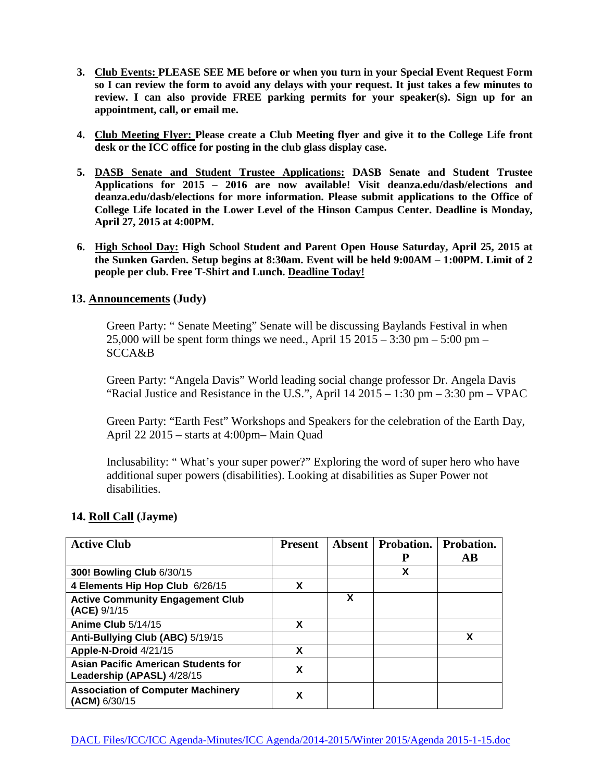- **3. Club Events: PLEASE SEE ME before or when you turn in your Special Event Request Form so I can review the form to avoid any delays with your request. It just takes a few minutes to review. I can also provide FREE parking permits for your speaker(s). Sign up for an appointment, call, or email me.**
- **4. Club Meeting Flyer: Please create a Club Meeting flyer and give it to the College Life front desk or the ICC office for posting in the club glass display case.**
- **5. DASB Senate and Student Trustee Applications: DASB Senate and Student Trustee Applications for 2015 – 2016 are now available! Visit deanza.edu/dasb/elections and deanza.edu/dasb/elections for more information. Please submit applications to the Office of College Life located in the Lower Level of the Hinson Campus Center. Deadline is Monday, April 27, 2015 at 4:00PM.**
- **6. High School Day: High School Student and Parent Open House Saturday, April 25, 2015 at the Sunken Garden. Setup begins at 8:30am. Event will be held 9:00AM – 1:00PM. Limit of 2 people per club. Free T-Shirt and Lunch. Deadline Today!**

### **13. Announcements (Judy)**

Green Party: " Senate Meeting" Senate will be discussing Baylands Festival in when 25,000 will be spent form things we need., April  $15\ 2015 - 3:30$  pm  $- 5:00$  pm  $-$ SCCA&B

Green Party: "Angela Davis" World leading social change professor Dr. Angela Davis "Racial Justice and Resistance in the U.S.", April  $14\ 2015 - 1:30$  pm  $- 3:30$  pm  $-$  VPAC

Green Party: "Earth Fest" Workshops and Speakers for the celebration of the Earth Day, April 22 2015 – starts at 4:00pm– Main Quad

Inclusability: " What's your super power?" Exploring the word of super hero who have additional super powers (disabilities). Looking at disabilities as Super Power not disabilities.

### **14. Roll Call (Jayme)**

| <b>Active Club</b>                                                       | <b>Present</b> |   | <b>Absent</b>   Probation. | Probation. |
|--------------------------------------------------------------------------|----------------|---|----------------------------|------------|
|                                                                          |                |   | P                          | $\bf AB$   |
| 300! Bowling Club 6/30/15                                                |                |   | X                          |            |
| 4 Elements Hip Hop Club 6/26/15                                          | X              |   |                            |            |
| <b>Active Community Engagement Club</b><br>(ACE) 9/1/15                  |                | х |                            |            |
| Anime Club 5/14/15                                                       | X              |   |                            |            |
| Anti-Bullying Club (ABC) 5/19/15                                         |                |   |                            | X          |
| Apple-N-Droid 4/21/15                                                    | X              |   |                            |            |
| <b>Asian Pacific American Students for</b><br>Leadership (APASL) 4/28/15 | X              |   |                            |            |
| <b>Association of Computer Machinery</b><br>(ACM) 6/30/15                | X              |   |                            |            |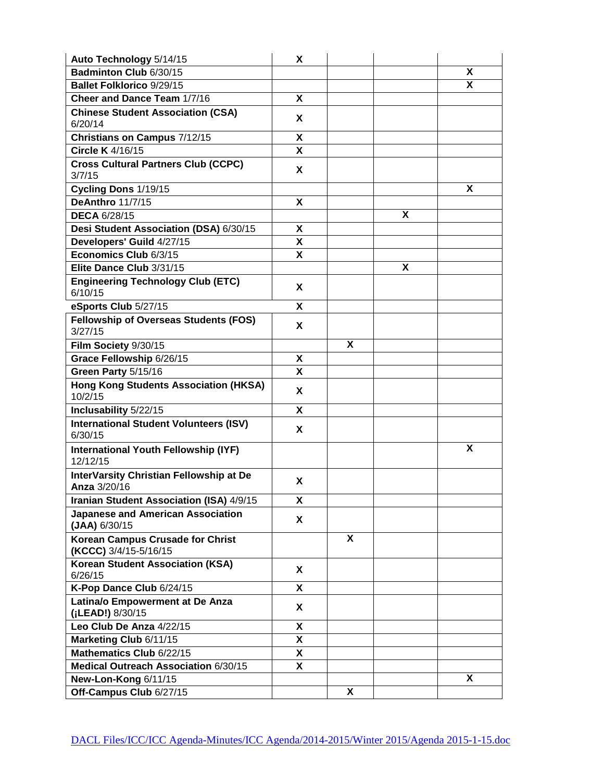| Auto Technology 5/14/15                                          | Χ  |   |   |   |
|------------------------------------------------------------------|----|---|---|---|
| Badminton Club 6/30/15                                           |    |   |   | X |
| <b>Ballet Folklorico 9/29/15</b>                                 |    |   |   | X |
| Cheer and Dance Team 1/7/16                                      | Χ  |   |   |   |
| <b>Chinese Student Association (CSA)</b><br>6/20/14              | Χ  |   |   |   |
| Christians on Campus 7/12/15                                     | Χ  |   |   |   |
| Circle K 4/16/15                                                 | X  |   |   |   |
| <b>Cross Cultural Partners Club (CCPC)</b><br>3/7/15             | X  |   |   |   |
| Cycling Dons 1/19/15                                             |    |   |   | X |
| <b>DeAnthro 11/7/15</b>                                          | X  |   |   |   |
| <b>DECA 6/28/15</b>                                              |    |   | X |   |
| Desi Student Association (DSA) 6/30/15                           | X  |   |   |   |
| Developers' Guild 4/27/15                                        | X  |   |   |   |
| Economics Club 6/3/15                                            | Χ  |   |   |   |
| Elite Dance Club 3/31/15                                         |    |   | X |   |
| <b>Engineering Technology Club (ETC)</b><br>6/10/15              | X  |   |   |   |
| eSports Club 5/27/15                                             | X  |   |   |   |
| <b>Fellowship of Overseas Students (FOS)</b><br>3/27/15          | X  |   |   |   |
| Film Society 9/30/15                                             |    | X |   |   |
| Grace Fellowship 6/26/15                                         | Χ  |   |   |   |
| Green Party 5/15/16                                              | X  |   |   |   |
| <b>Hong Kong Students Association (HKSA)</b><br>10/2/15          | X  |   |   |   |
| Inclusability 5/22/15                                            | X  |   |   |   |
| <b>International Student Volunteers (ISV)</b><br>6/30/15         | X  |   |   |   |
| International Youth Fellowship (IYF)<br>12/12/15                 |    |   |   | X |
| InterVarsity Christian Fellowship at De<br>Anza 3/20/16          | Χ  |   |   |   |
| Iranian Student Association (ISA) 4/9/15                         | Χ  |   |   |   |
| <b>Japanese and American Association</b><br>$(JAA)$ 6/30/15      | Χ  |   |   |   |
| <b>Korean Campus Crusade for Christ</b><br>(KCCC) 3/4/15-5/16/15 |    | X |   |   |
| <b>Korean Student Association (KSA)</b><br>6/26/15               | Χ  |   |   |   |
| K-Pop Dance Club 6/24/15                                         | X  |   |   |   |
| Latina/o Empowerment at De Anza<br>(¡LEAD!) 8/30/15              | X  |   |   |   |
| Leo Club De Anza 4/22/15                                         | X. |   |   |   |
| Marketing Club 6/11/15                                           | X. |   |   |   |
| Mathematics Club 6/22/15                                         | X  |   |   |   |
| Medical Outreach Association 6/30/15                             | X  |   |   |   |
| New-Lon-Kong 6/11/15                                             |    |   |   | X |
| Off-Campus Club 6/27/15                                          |    | X |   |   |